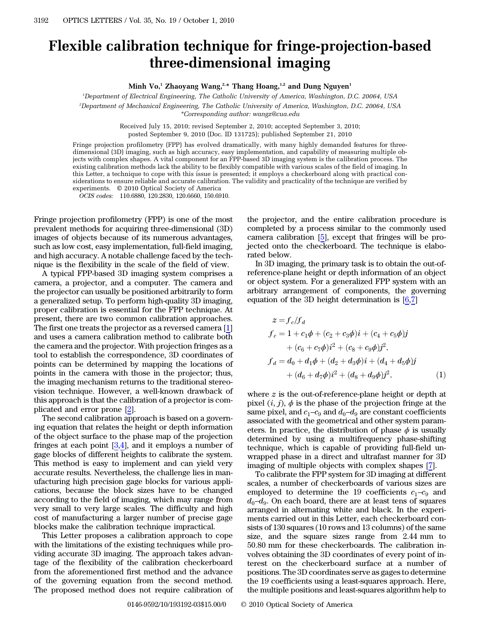## Flexible calibration technique for fringe-projection-based three-dimensional imaging

Minh Vo,<sup>1</sup> Zhaoyang Wang,<sup>2,\*</sup> Thang Hoang,<sup>1,2</sup> and Dung Nguyen<sup>1</sup>

1 Department of Electrical Engineering, The Catholic University of America, Washington, D.C. 20064, USA

2 Department of Mechanical Engineering, The Catholic University of America, Washington, D.C. 20064, USA

\*Corresponding author: wangz@cua.edu

Received July 15, 2010; revised September 2, 2010; accepted September 3, 2010; posted September 9, 2010 (Doc. ID 131725); published September 21, 2010

Fringe projection profilometry (FPP) has evolved dramatically, with many highly demanded features for threedimensional (3D) imaging, such as high accuracy, easy implementation, and capability of measuring multiple objects with complex shapes. A vital component for an FPP-based 3D imaging system is the calibration process. The existing calibration methods lack the ability to be flexibly compatible with various scales of the field of imaging. In this Letter, a technique to cope with this issue is presented; it employs a checkerboard along with practical considerations to ensure reliable and accurate calibration. The validity and practicality of the technique are verified by experiments. © 2010 Optical Society of America

OCIS codes: 110.6880, 120.2830, 120.6660, 150.6910.

Fringe projection profilometry (FPP) is one of the most prevalent methods for acquiring three-dimensional (3D) images of objects because of its numerous advantages, such as low cost, easy implementation, full-field imaging, and high accuracy. A notable challenge faced by the technique is the flexibility in the scale of the field of view.

A typical FPP-based 3D imaging system comprises a camera, a projector, and a computer. The camera and the projector can usually be positioned arbitrarily to form a generalized setup. To perform high-quality 3D imaging, proper calibration is essential for the FPP technique. At present, there are two common calibration approaches. The first one treats the projector as a reversed camera [1] and uses a camera calibration method to calibrate both the camera and the projector. With projection fringes as a tool to establish the correspondence, 3D coordinates of points can be determined by mapping the locations of points in the camera with those in the projector; thus, the imaging mechanism returns to the traditional stereovision technique. However, a well-known drawback of this approach is that the calibration of a projector is complicated and error prone [2].

The second calibration approach is based on a governing equation that relates the height or depth information of the object surface to the phase map of the projection fringes at each point  $[3,4]$ , and it employs a number of gage blocks of different heights to calibrate the system. This method is easy to implement and can yield very accurate results. Nevertheless, the challenge lies in manufacturing high precision gage blocks for various applications, because the block sizes have to be changed according to the field of imaging, which may range from very small to very large scales. The difficulty and high cost of manufacturing a larger number of precise gage blocks make the calibration technique impractical.

This Letter proposes a calibration approach to cope with the limitations of the existing techniques while providing accurate 3D imaging. The approach takes advantage of the flexibility of the calibration checkerboard from the aforementioned first method and the advance of the governing equation from the second method. The proposed method does not require calibration of

the projector, and the entire calibration procedure is completed by a process similar to the commonly used camera calibration [5], except that fringes will be projected onto the checkerboard. The technique is elaborated below.

In 3D imaging, the primary task is to obtain the out-ofreference-plane height or depth information of an object or object system. For a generalized FPP system with an arbitrary arrangement of components, the governing equation of the 3D height determination is  $[6,7]$ 

<span id="page-0-0"></span>
$$
z = f_c/f_d
$$
  
\n
$$
f_c = 1 + c_1\phi + (c_2 + c_3\phi)i + (c_4 + c_5\phi)j
$$
  
\n
$$
+ (c_6 + c_7\phi)i^2 + (c_8 + c_9\phi)j^2,
$$
  
\n
$$
f_d = d_0 + d_1\phi + (d_2 + d_3\phi)i + (d_4 + d_5\phi)j
$$
  
\n
$$
+ (d_6 + d_7\phi)i^2 + (d_8 + d_9\phi)j^2,
$$
\n(1)

where  $z$  is the out-of-reference-plane height or depth at pixel  $(i, j)$ ,  $\phi$  is the phase of the projection fringe at the same pixel, and  $c_1-c_9$  and  $d_0-d_9$  are constant coefficients associated with the geometrical and other system parameters. In practice, the distribution of phase  $\phi$  is usually determined by using a multifrequency phase-shifting technique, which is capable of providing full-field unwrapped phase in a direct and ultrafast manner for 3D imaging of multiple objects with complex shapes [7].

To calibrate the FPP system for 3D imaging at different scales, a number of checkerboards of various sizes are maging of multiple objects with complex shapes [7].<br>To calibrate the FPP system for 3D imaging at different<br>scales, a number of checkerboards of various sizes are<br>employed to determine the 19 coefficients  $c_1-c_9$  and To calibrate the FPP system for 3D imaging at different<br>scales, a number of checkerboards of various sizes are<br>employed to determine the 19 coefficients  $c_1-c_9$  and<br> $d_0-d_9$ . On each board, there are at least tens of squ arranged in alternating white and black. In the experiments carried out in this Letter, each checkerboard consists of 130 squares (10 rows and 13 columns) of the same size, and the square sizes range from 2:44 mm to 50:80 mm for these checkerboards. The calibration involves obtaining the 3D coordinates of every point of interest on the checkerboard surface at a number of positions. The 3D coordinates serve as gages to determine the 19 coefficients using a least-squares approach. Here, the multiple positions and least-squares algorithm help to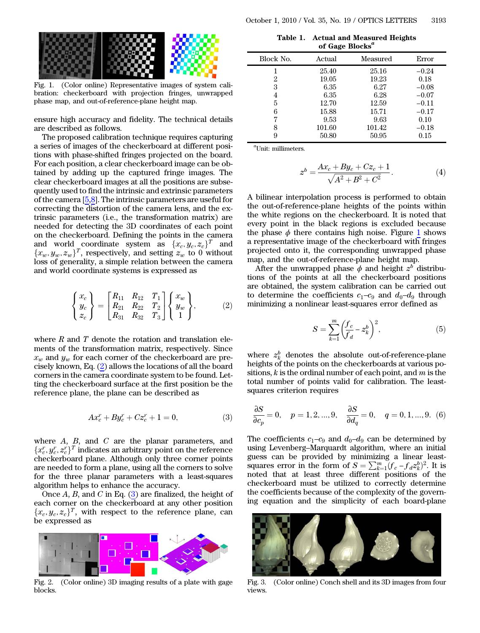<span id="page-1-2"></span>

Fig. 1. (Color online) Representative images of system calibration: checkerboard with projection fringes, unwrapped phase map, and out-of-reference-plane height map.

ensure high accuracy and fidelity. The technical details are described as follows.

The proposed calibration technique requires capturing a series of images of the checkerboard at different positions with phase-shifted fringes projected on the board. For each position, a clear checkerboard image can be obtained by adding up the captured fringe images. The clear checkerboard images at all the positions are subsequently used to find the intrinsic and extrinsic parameters of the camera [5,8]. The intrinsic parameters are useful for correcting the distortion of the camera lens, and the extrinsic parameters (i.e., the transformation matrix) are needed for detecting the 3D coordinates of each point on the checkerboard. Defining the points in the camera and world coordinate system as  $\{x_c, y_c, z_c\}^T$  and  ${x_w, y_w, z_w}^T$ , respectively, and setting  $z_w$  to 0 without loss of generality, a simple relation between the camera and world coordinate systems is expressed as

<span id="page-1-0"></span>
$$
\begin{Bmatrix} x_c \\ y_c \\ z_c \end{Bmatrix} = \begin{bmatrix} R_{11} & R_{12} & T_1 \\ R_{21} & R_{22} & T_2 \\ R_{31} & R_{32} & T_3 \end{bmatrix} \begin{Bmatrix} x_w \\ y_w \\ 1 \end{Bmatrix},
$$
 (2)

where  $R$  and  $T$  denote the rotation and translation elements of the transformation matrix, respectively. Since  $x_w$  and  $y_w$  for each corner of the checkerboard are precisely known, Eq. ([2\)](#page-1-0) allows the locations of all the board corners in the camera coordinate system to be found. Letting the checkerboard surface at the first position be the reference plane, the plane can be described as

$$
Ax_c^r + By_c^r + Cz_c^r + 1 = 0,
$$
 (3)

<span id="page-1-1"></span>where  $A$ ,  $B$ , and  $C$  are the planar parameters, and  $\{x_c^r, y_c^r, z_c^r\}^T$  indicates an arbitrary point on the reference<br>checkerboard plane. Although only three corner points checkerboard plane. Although only three corner points are needed to form a plane, using all the corners to solve for the three planar parameters with a least-squares algorithm helps to enhance the accuracy.

Once  $A$ ,  $B$ , and  $C$  in Eq. [\(3](#page-1-1)) are finalized, the height of each corner on the checkerboard at any other position  $\{x_c, y_c, z_c\}^T$ , with respect to the reference plane, can be expressed as

<span id="page-1-3"></span>

Fig. 2. (Color online) 3D imaging results of a plate with gage blocks.

|                             | Table 1. Actual and Measured Heights |  |  |  |
|-----------------------------|--------------------------------------|--|--|--|
| of Gage Blocks <sup>a</sup> |                                      |  |  |  |

<span id="page-1-4"></span>

| Block No. | Actual         | Measured       | Error              |  |
|-----------|----------------|----------------|--------------------|--|
|           | 25.40          | 25.16          | $-0.24$            |  |
| 2<br>3    | 19.05<br>6.35  | 19.23<br>6.27  | 0.18<br>$-0.08$    |  |
| 4         | 6.35           | 6.28           | $-0.07$            |  |
| 5<br>6    | 12.70<br>15.88 | 12.59<br>15.71 | $-0.11$<br>$-0.17$ |  |
|           | 9.53           | 9.63           | 0.10               |  |
| 8         | 101.60         | 101.42         | $-0.18$            |  |
| 9         | 50.80          | 50.95          | 0.15               |  |

a Unit: millimeters.

$$
z^{b} = \frac{Ax_{c} + By_{c} + Cz_{c} + 1}{\sqrt{A^{2} + B^{2} + C^{2}}}.
$$
\n(4)

A bilinear interpolation process is performed to obtain the out-of-reference-plane heights of the points within the white regions on the checkerboard. It is noted that every point in the black regions is excluded because the phase  $\phi$  there contains high noise. Figure [1](#page-1-2) shows a representative image of the checkerboard with fringes projected onto it, the corresponding unwrapped phase map, and the out-of-reference-plane height map.

After the unwrapped phase  $\phi$  and height  $z^b$  distributions of the points at all the checkerboard positions are obtained, the system calibration can be carried out to determine the coefficients  $c_1-c_9$  and  $d_0-d_9$  through minimizing a nonlinear least-squares error defined as

$$
S = \sum_{k=1}^{m} \left( \frac{f_c}{f_d} - z_k^b \right)^2, \tag{5}
$$

where  $z_k^b$  denotes the absolute out-of-reference-plane heights of the points on the checkerboards at various positions,  $k$  is the ordinal number of each point, and  $m$  is the total number of points valid for calibration. The leastsquares criterion requires

$$
\frac{\partial S}{\partial c_p} = 0, \quad p = 1, 2, ..., 9, \quad \frac{\partial S}{\partial d_q} = 0, \quad q = 0, 1, ..., 9.
$$
 (6)  
The coefficients  $c_1 - c_9$  and  $d_0 - d_9$  can be determined by

 $\overline{\partial c_p} = 0$ ,  $p = 1, 2, ..., 9$ ,  $\overline{\partial d_q} = 0$ ,  $q = 0, 1, ..., 9$ . (6)<br>The coefficients  $c_1 - c_9$  and  $d_0 - d_9$  can be determined by<br>using Levenberg–Marquardt algorithm, where an initial guess can be provided by minimizing a linear leastsquares error in the form of  $S = \sum_{k=1}^{m} (f_c - f_d z_k^b)^2$ . It is noted that at least three different positions of the noted that at least three different positions of the checkerboard must be utilized to correctly determine the coefficients because of the complexity of the governing equation and the simplicity of each board-plane

<span id="page-1-5"></span>

Fig. 3. (Color online) Conch shell and its 3D images from four views.